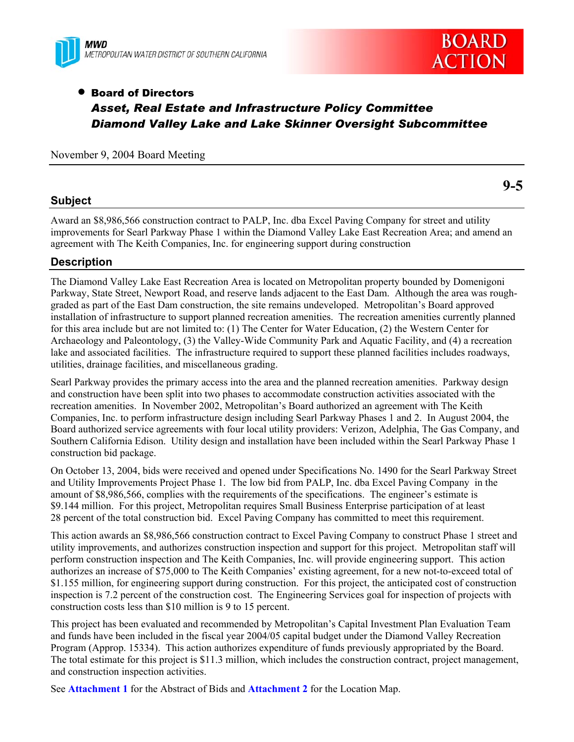



**9-5** 

# • Board of Directors *Asset, Real Estate and Infrastructure Policy Committee Diamond Valley Lake and Lake Skinner Oversight Subcommittee*

November 9, 2004 Board Meeting

### **Subject**

Award an \$8,986,566 construction contract to PALP, Inc. dba Excel Paving Company for street and utility improvements for Searl Parkway Phase 1 within the Diamond Valley Lake East Recreation Area; and amend an agreement with The Keith Companies, Inc. for engineering support during construction

## **Description**

The Diamond Valley Lake East Recreation Area is located on Metropolitan property bounded by Domenigoni Parkway, State Street, Newport Road, and reserve lands adjacent to the East Dam. Although the area was roughgraded as part of the East Dam construction, the site remains undeveloped. Metropolitan's Board approved installation of infrastructure to support planned recreation amenities. The recreation amenities currently planned for this area include but are not limited to: (1) The Center for Water Education, (2) the Western Center for Archaeology and Paleontology, (3) the Valley-Wide Community Park and Aquatic Facility, and (4) a recreation lake and associated facilities. The infrastructure required to support these planned facilities includes roadways, utilities, drainage facilities, and miscellaneous grading.

Searl Parkway provides the primary access into the area and the planned recreation amenities. Parkway design and construction have been split into two phases to accommodate construction activities associated with the recreation amenities. In November 2002, Metropolitan's Board authorized an agreement with The Keith Companies, Inc. to perform infrastructure design including Searl Parkway Phases 1 and 2. In August 2004, the Board authorized service agreements with four local utility providers: Verizon, Adelphia, The Gas Company, and Southern California Edison. Utility design and installation have been included within the Searl Parkway Phase 1 construction bid package.

On October 13, 2004, bids were received and opened under Specifications No. 1490 for the Searl Parkway Street and Utility Improvements Project Phase 1. The low bid from PALP, Inc. dba Excel Paving Company in the amount of \$8,986,566, complies with the requirements of the specifications. The engineer's estimate is \$9.144 million. For this project, Metropolitan requires Small Business Enterprise participation of at least 28 percent of the total construction bid. Excel Paving Company has committed to meet this requirement.

This action awards an \$8,986,566 construction contract to Excel Paving Company to construct Phase 1 street and utility improvements, and authorizes construction inspection and support for this project. Metropolitan staff will perform construction inspection and The Keith Companies, Inc. will provide engineering support. This action authorizes an increase of \$75,000 to The Keith Companies' existing agreement, for a new not-to-exceed total of \$1.155 million, for engineering support during construction. For this project, the anticipated cost of construction inspection is 7.2 percent of the construction cost. The Engineering Services goal for inspection of projects with construction costs less than \$10 million is 9 to 15 percent.

This project has been evaluated and recommended by Metropolitan's Capital Investment Plan Evaluation Team and funds have been included in the fiscal year 2004/05 capital budget under the Diamond Valley Recreation Program (Approp. 15334). This action authorizes expenditure of funds previously appropriated by the Board. The total estimate for this project is \$11.3 million, which includes the construction contract, project management, and construction inspection activities.

See **Attachment 1** for the Abstract of Bids and **Attachment 2** for the Location Map.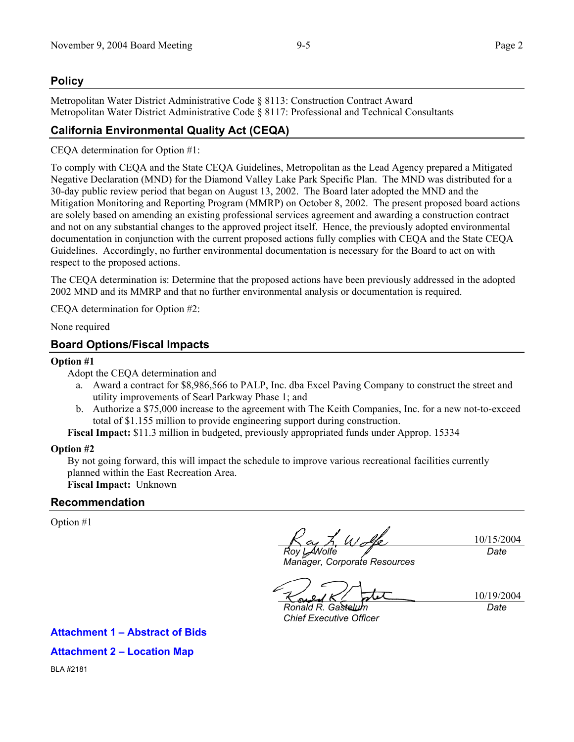### **Policy**

Metropolitan Water District Administrative Code § 8113: Construction Contract Award Metropolitan Water District Administrative Code § 8117: Professional and Technical Consultants

# **California Environmental Quality Act (CEQA)**

CEQA determination for Option #1:

To comply with CEQA and the State CEQA Guidelines, Metropolitan as the Lead Agency prepared a Mitigated Negative Declaration (MND) for the Diamond Valley Lake Park Specific Plan. The MND was distributed for a 30-day public review period that began on August 13, 2002. The Board later adopted the MND and the Mitigation Monitoring and Reporting Program (MMRP) on October 8, 2002. The present proposed board actions are solely based on amending an existing professional services agreement and awarding a construction contract and not on any substantial changes to the approved project itself. Hence, the previously adopted environmental documentation in conjunction with the current proposed actions fully complies with CEQA and the State CEQA Guidelines. Accordingly, no further environmental documentation is necessary for the Board to act on with respect to the proposed actions.

The CEQA determination is: Determine that the proposed actions have been previously addressed in the adopted 2002 MND and its MMRP and that no further environmental analysis or documentation is required.

CEQA determination for Option #2:

None required

### **Board Options/Fiscal Impacts**

#### **Option #1**

Adopt the CEQA determination and

- a. Award a contract for \$8,986,566 to PALP, Inc. dba Excel Paving Company to construct the street and utility improvements of Searl Parkway Phase 1; and
- b. Authorize a \$75,000 increase to the agreement with The Keith Companies, Inc. for a new not-to-exceed total of \$1.155 million to provide engineering support during construction.

**Fiscal Impact:** \$11.3 million in budgeted, previously appropriated funds under Approp. 15334

### **Option #2**

By not going forward, this will impact the schedule to improve various recreational facilities currently planned within the East Recreation Area. **Fiscal Impact:** Unknown

### **Recommendation**

Option #1

*Roy L. Wolfe* 

10/15/2004 *Date* 

*Manager, Corporate Resources* 

10/19/2004

*Ronald R. Gastelum Chief Executive Officer* 

*Date* 

### **Attachment 1 – Abstract of Bids**

**Attachment 2 – Location Map** 

BLA #2181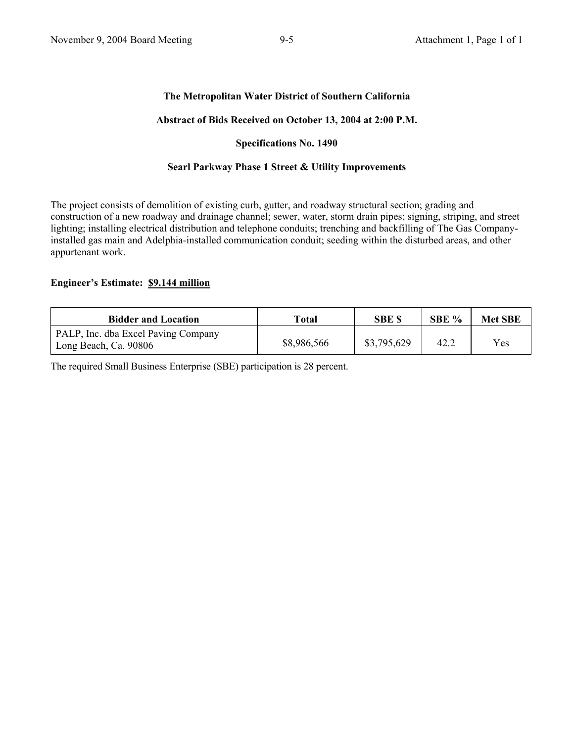### **The Metropolitan Water District of Southern California**

#### **Abstract of Bids Received on October 13, 2004 at 2:00 P.M.**

#### **Specifications No. 1490**

### **Searl Parkway Phase 1 Street & Utility Improvements**

The project consists of demolition of existing curb, gutter, and roadway structural section; grading and construction of a new roadway and drainage channel; sewer, water, storm drain pipes; signing, striping, and street lighting; installing electrical distribution and telephone conduits; trenching and backfilling of The Gas Companyinstalled gas main and Adelphia-installed communication conduit; seeding within the disturbed areas, and other appurtenant work.

#### **Engineer's Estimate: \$9.144 million**

| <b>Bidder and Location</b>                                   | Total       | SBE \$      | SBE % | <b>Met SBE</b> |
|--------------------------------------------------------------|-------------|-------------|-------|----------------|
| PALP, Inc. dba Excel Paving Company<br>Long Beach, Ca. 90806 | \$8,986,566 | \$3,795,629 | 42.2  | Yes            |

The required Small Business Enterprise (SBE) participation is 28 percent.